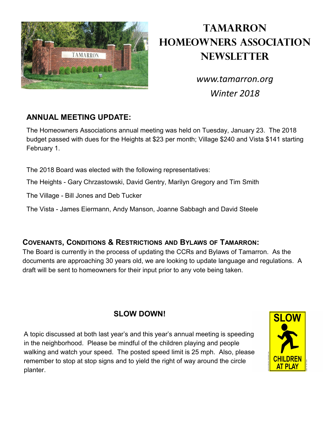

# **Tamarron Homeowners Association Newsletter**

*www.tamarron.org Winter 2018*

#### **ANNUAL MEETING UPDATE:**

The Homeowners Associations annual meeting was held on Tuesday, January 23. The 2018 budget passed with dues for the Heights at \$23 per month; Village \$240 and Vista \$141 starting February 1.

The 2018 Board was elected with the following representatives:

The Heights - Gary Chrzastowski, David Gentry, Marilyn Gregory and Tim Smith

The Village - Bill Jones and Deb Tucker

The Vista - James Eiermann, Andy Manson, Joanne Sabbagh and David Steele

#### **COVENANTS, CONDITIONS & RESTRICTIONS AND BYLAWS OF TAMARRON:**

The Board is currently in the process of updating the CCRs and Bylaws of Tamarron. As the documents are approaching 30 years old, we are looking to update language and regulations. A draft will be sent to homeowners for their input prior to any vote being taken.

### **SLOW DOWN!**

A topic discussed at both last year's and this year's annual meeting is speeding in the neighborhood. Please be mindful of the children playing and people walking and watch your speed. The posted speed limit is 25 mph. Also, please remember to stop at stop signs and to yield the right of way around the circle planter.